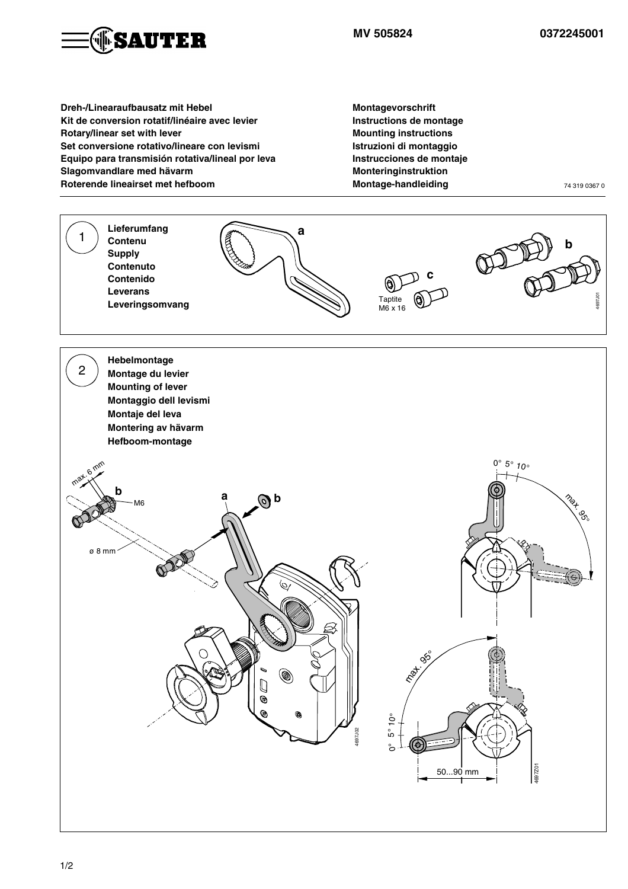

**Dreh-/Linearaufbausatz mit Hebel Kit de conversion rotatif/linéaire avec levier Rotary/linear set with lever Set conversione rotativo/lineare con levismi Equipo para transmisión rotativa/lineal por leva Slagomvandlare med hävarm Roterende lineairset met hefboom**

**Montagevorschrift Instructions de montage Mounting instructions Istruzioni di montaggio Instrucciones de montaje Monteringinstruktion Montage-handleiding** 74 319 0367 0